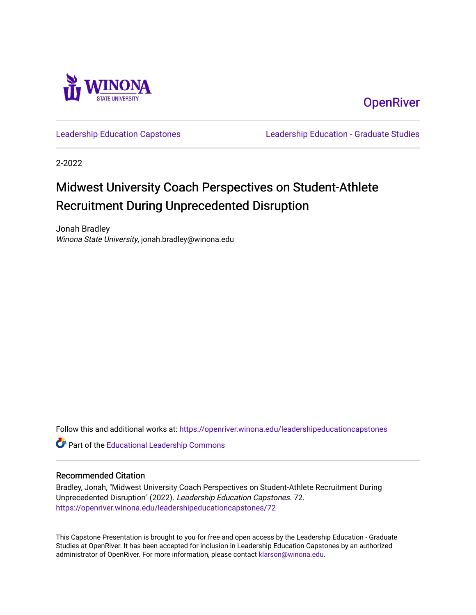

**OpenRiver** 

[Leadership Education Capstones](https://openriver.winona.edu/leadershipeducationcapstones) [Leadership Education - Graduate Studies](https://openriver.winona.edu/leadershipeducation) 

2-2022

#### Midwest University Coach Perspectives on Student-Athlete Recruitment During Unprecedented Disruption

Jonah Bradley Winona State University, jonah.bradley@winona.edu

Follow this and additional works at: [https://openriver.winona.edu/leadershipeducationcapstones](https://openriver.winona.edu/leadershipeducationcapstones?utm_source=openriver.winona.edu%2Fleadershipeducationcapstones%2F72&utm_medium=PDF&utm_campaign=PDFCoverPages) 

Part of the [Educational Leadership Commons](http://network.bepress.com/hgg/discipline/1230?utm_source=openriver.winona.edu%2Fleadershipeducationcapstones%2F72&utm_medium=PDF&utm_campaign=PDFCoverPages) 

#### Recommended Citation

Bradley, Jonah, "Midwest University Coach Perspectives on Student-Athlete Recruitment During Unprecedented Disruption" (2022). Leadership Education Capstones. 72. [https://openriver.winona.edu/leadershipeducationcapstones/72](https://openriver.winona.edu/leadershipeducationcapstones/72?utm_source=openriver.winona.edu%2Fleadershipeducationcapstones%2F72&utm_medium=PDF&utm_campaign=PDFCoverPages) 

This Capstone Presentation is brought to you for free and open access by the Leadership Education - Graduate Studies at OpenRiver. It has been accepted for inclusion in Leadership Education Capstones by an authorized administrator of OpenRiver. For more information, please contact [klarson@winona.edu.](mailto:klarson@winona.edu)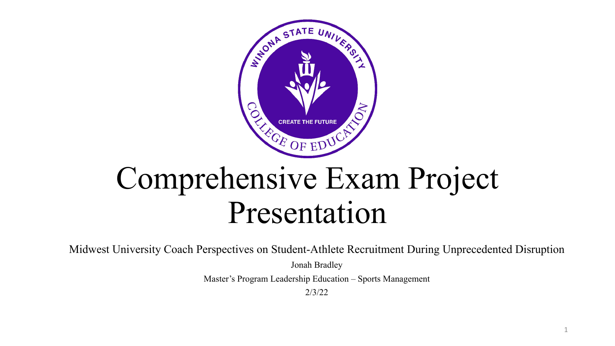

# Comprehensive Exam Project Presentation

Midwest University Coach Perspectives on Student-Athlete Recruitment During Unprecedented Disruption

Jonah Bradley

Master's Program Leadership Education – Sports Management

2/3/22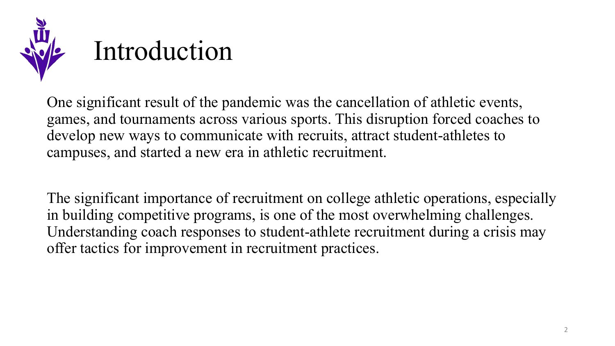

# Introduction

One significant result of the pandemic was the cancellation of athletic events, games, and tournaments across various sports. This disruption forced coaches to develop new ways to communicate with recruits, attract student-athletes to campuses, and started a new era in athletic recruitment.

The significant importance of recruitment on college athletic operations, especially in building competitive programs, is one of the most overwhelming challenges. Understanding coach responses to student-athlete recruitment during a crisis may offer tactics for improvement in recruitment practices.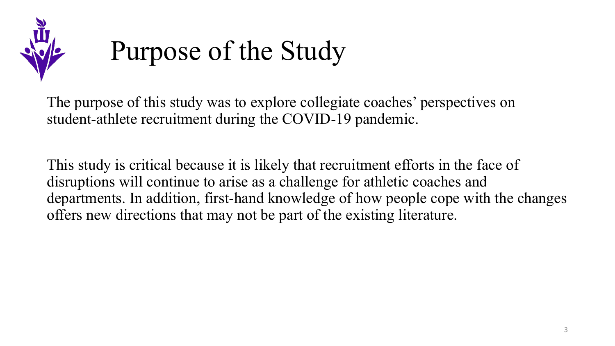

#### Purpose of the Study

The purpose of this study was to explore collegiate coaches' perspectives on student-athlete recruitment during the COVID-19 pandemic.

This study is critical because it is likely that recruitment efforts in the face of disruptions will continue to arise as a challenge for athletic coaches and departments. In addition, first-hand knowledge of how people cope with the changes offers new directions that may not be part of the existing literature.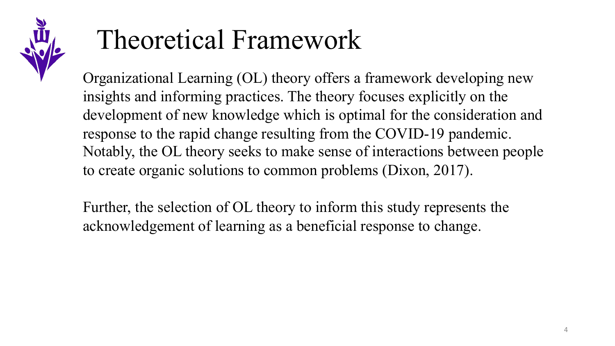

#### Theoretical Framework

Organizational Learning (OL) theory offers a framework developing new insights and informing practices. The theory focuses explicitly on the development of new knowledge which is optimal for the consideration and response to the rapid change resulting from the COVID-19 pandemic. Notably, the OL theory seeks to make sense of interactions between people to create organic solutions to common problems (Dixon, 2017).

Further, the selection of OL theory to inform this study represents the acknowledgement of learning as a beneficial response to change.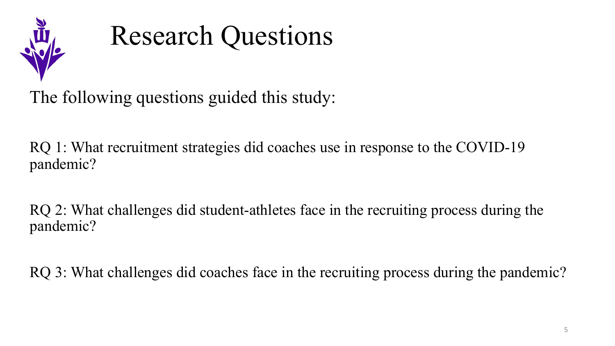

#### Research Questions

The following questions guided this study:

RQ 1: What recruitment strategies did coaches use in response to the COVID-19 pandemic?

RQ 2: What challenges did student-athletes face in the recruiting process during the pandemic?

RQ 3: What challenges did coaches face in the recruiting process during the pandemic?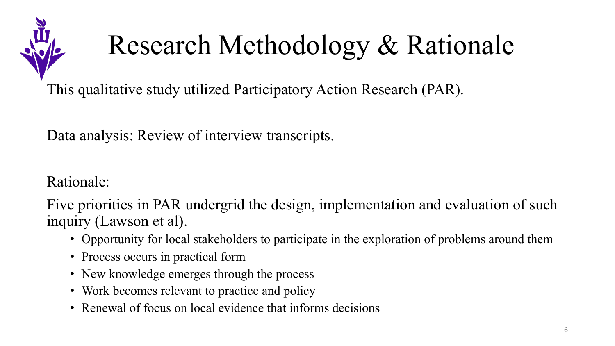

# Research Methodology & Rationale

This qualitative study utilized Participatory Action Research (PAR).

Data analysis: Review of interview transcripts.

Rationale:

Five priorities in PAR undergrid the design, implementation and evaluation of such inquiry (Lawson et al).

- Opportunity for local stakeholders to participate in the exploration of problems around them
- Process occurs in practical form
- New knowledge emerges through the process
- Work becomes relevant to practice and policy
- Renewal of focus on local evidence that informs decisions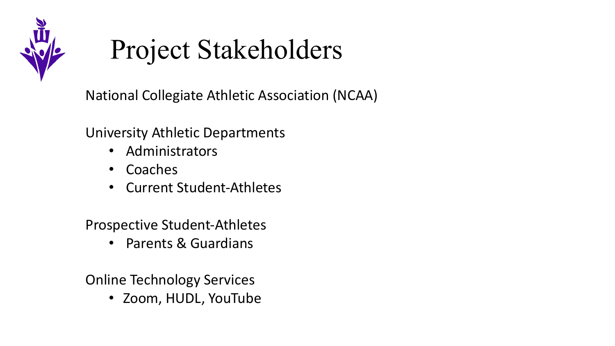

#### Project Stakeholders

National Collegiate Athletic Association (NCAA)

University Athletic Departments

- Administrators
- Coaches
- Current Student-Athletes

Prospective Student-Athletes

• Parents & Guardians

Online Technology Services

• Zoom, HUDL, YouTube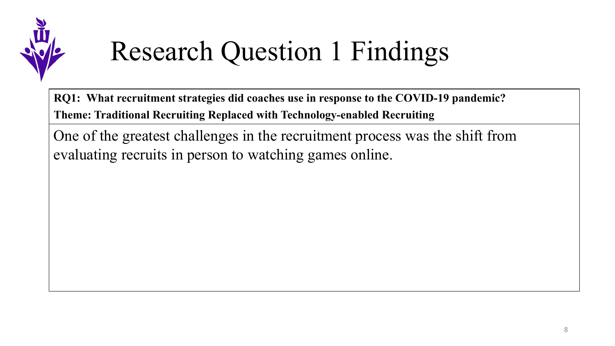

## Research Question 1 Findings

**RQ1: What recruitment strategies did coaches use in response to the COVID-19 pandemic?** 

**Theme: Traditional Recruiting Replaced with Technology-enabled Recruiting** 

One of the greatest challenges in the recruitment process was the shift from evaluating recruits in person to watching games online.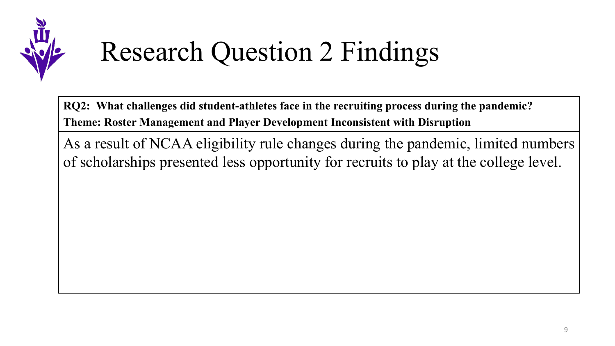

# Research Question 2 Findings

**RQ2: What challenges did student-athletes face in the recruiting process during the pandemic? Theme: Roster Management and Player Development Inconsistent with Disruption**

As a result of NCAA eligibility rule changes during the pandemic, limited numbers of scholarships presented less opportunity for recruits to play at the college level.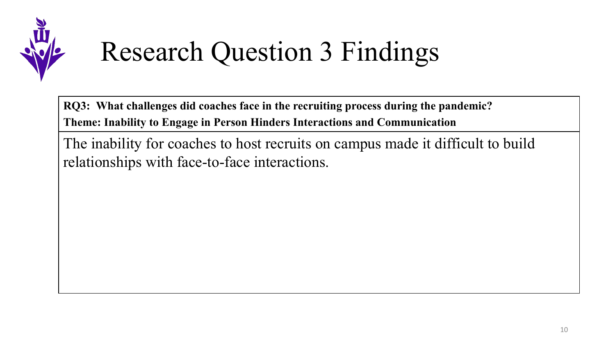

## Research Question 3 Findings

**RQ3: What challenges did coaches face in the recruiting process during the pandemic? Theme: Inability to Engage in Person Hinders Interactions and Communication** 

The inability for coaches to host recruits on campus made it difficult to build relationships with face-to-face interactions.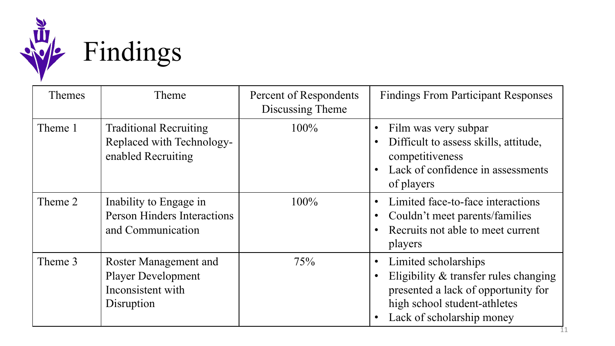

| <b>Themes</b> | Theme                                                                                 | Percent of Respondents<br>Discussing Theme | <b>Findings From Participant Responses</b>                                                                                                                                                  |
|---------------|---------------------------------------------------------------------------------------|--------------------------------------------|---------------------------------------------------------------------------------------------------------------------------------------------------------------------------------------------|
| Theme 1       | <b>Traditional Recruiting</b><br>Replaced with Technology-<br>enabled Recruiting      | 100%                                       | Film was very subpar<br>$\bullet$<br>Difficult to assess skills, attitude,<br>$\bullet$<br>competitiveness<br>Lack of confidence in assessments<br>$\bullet$<br>of players                  |
| Theme 2       | Inability to Engage in<br><b>Person Hinders Interactions</b><br>and Communication     | $100\%$                                    | Limited face-to-face interactions<br>$\bullet$<br>Couldn't meet parents/families<br>$\bullet$<br>Recruits not able to meet current<br>$\bullet$<br>players                                  |
| Theme 3       | Roster Management and<br><b>Player Development</b><br>Inconsistent with<br>Disruption | 75%                                        | Limited scholarships<br>$\bullet$<br>Eligibility & transfer rules changing<br>$\bullet$<br>presented a lack of opportunity for<br>high school student-athletes<br>Lack of scholarship money |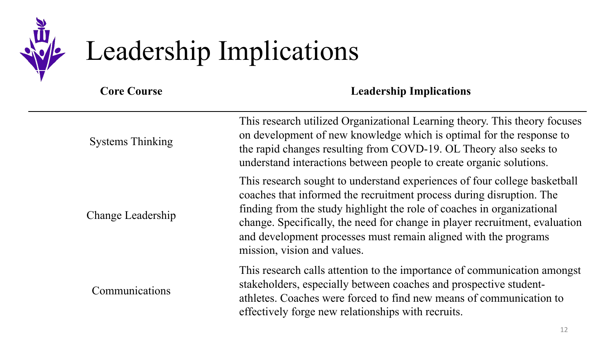

# Leadership Implications

**Core Course Leadership Implications**

| <b>Systems Thinking</b> | This research utilized Organizational Learning theory. This theory focuses<br>on development of new knowledge which is optimal for the response to<br>the rapid changes resulting from COVD-19. OL Theory also seeks to<br>understand interactions between people to create organic solutions.                                                                                                               |
|-------------------------|--------------------------------------------------------------------------------------------------------------------------------------------------------------------------------------------------------------------------------------------------------------------------------------------------------------------------------------------------------------------------------------------------------------|
| Change Leadership       | This research sought to understand experiences of four college basketball<br>coaches that informed the recruitment process during disruption. The<br>finding from the study highlight the role of coaches in organizational<br>change. Specifically, the need for change in player recruitment, evaluation<br>and development processes must remain aligned with the programs<br>mission, vision and values. |
| Communications          | This research calls attention to the importance of communication amongst<br>stakeholders, especially between coaches and prospective student-<br>athletes. Coaches were forced to find new means of communication to<br>effectively forge new relationships with recruits.                                                                                                                                   |